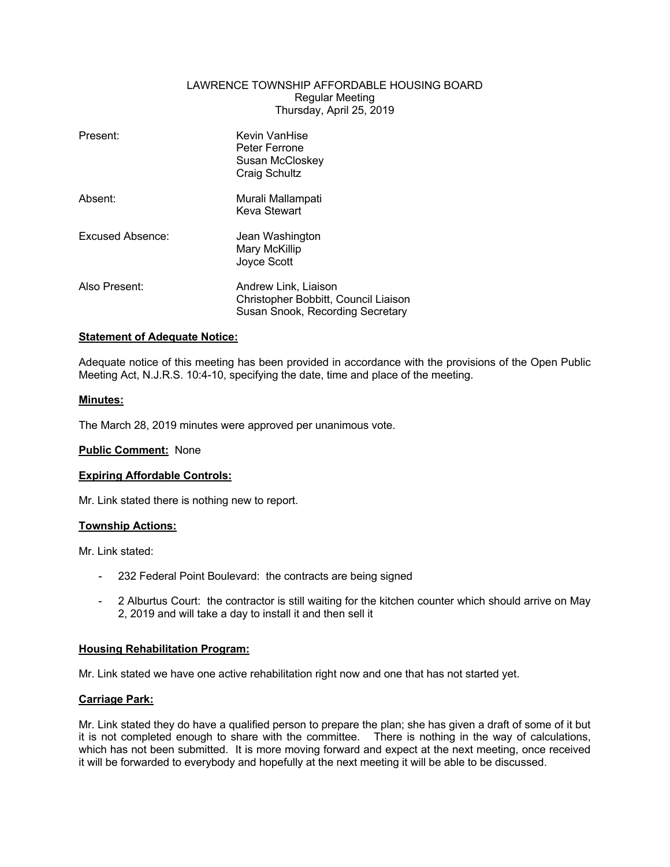## LAWRENCE TOWNSHIP AFFORDABLE HOUSING BOARD Regular Meeting Thursday, April 25, 2019

| Present:         | Kevin VanHise<br>Peter Ferrone<br>Susan McCloskey<br>Craig Schultz                               |
|------------------|--------------------------------------------------------------------------------------------------|
| Absent:          | Murali Mallampati<br>Keva Stewart                                                                |
| Excused Absence: | Jean Washington<br>Mary McKillip<br>Joyce Scott                                                  |
| Also Present:    | Andrew Link, Liaison<br>Christopher Bobbitt, Council Liaison<br>Susan Snook, Recording Secretary |

# **Statement of Adequate Notice:**

Adequate notice of this meeting has been provided in accordance with the provisions of the Open Public Meeting Act, N.J.R.S. 10:4-10, specifying the date, time and place of the meeting.

### **Minutes:**

The March 28, 2019 minutes were approved per unanimous vote.

### **Public Comment:** None

### **Expiring Affordable Controls:**

Mr. Link stated there is nothing new to report.

### **Township Actions:**

Mr. Link stated:

- 232 Federal Point Boulevard: the contracts are being signed
- 2 Alburtus Court: the contractor is still waiting for the kitchen counter which should arrive on May 2, 2019 and will take a day to install it and then sell it

# **Housing Rehabilitation Program:**

Mr. Link stated we have one active rehabilitation right now and one that has not started yet.

### **Carriage Park:**

Mr. Link stated they do have a qualified person to prepare the plan; she has given a draft of some of it but it is not completed enough to share with the committee. There is nothing in the way of calculations, which has not been submitted. It is more moving forward and expect at the next meeting, once received it will be forwarded to everybody and hopefully at the next meeting it will be able to be discussed.